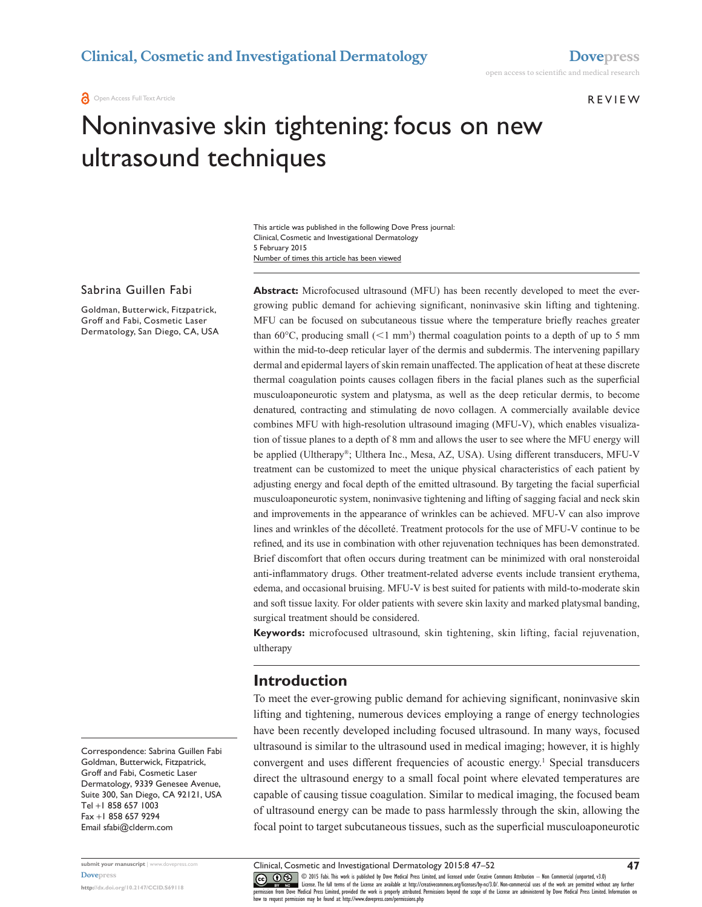Open Access Full Text Article

**REVIEW** 

# Noninvasive skin tightening: focus on new ultrasound techniques

Number of times this article has been viewed This article was published in the following Dove Press journal: Clinical, Cosmetic and Investigational Dermatology 5 February 2015

#### Sabrina Guillen Fabi

Goldman, Butterwick, Fitzpatrick, Groff and Fabi, Cosmetic Laser Dermatology, San Diego, CA, USA **Abstract:** Microfocused ultrasound (MFU) has been recently developed to meet the evergrowing public demand for achieving significant, noninvasive skin lifting and tightening. MFU can be focused on subcutaneous tissue where the temperature briefly reaches greater than 60 $^{\circ}$ C, producing small ( $\leq1$  mm<sup>3</sup>) thermal coagulation points to a depth of up to 5 mm within the mid-to-deep reticular layer of the dermis and subdermis. The intervening papillary dermal and epidermal layers of skin remain unaffected. The application of heat at these discrete thermal coagulation points causes collagen fibers in the facial planes such as the superficial musculoaponeurotic system and platysma, as well as the deep reticular dermis, to become denatured, contracting and stimulating de novo collagen. A commercially available device combines MFU with high-resolution ultrasound imaging (MFU-V), which enables visualization of tissue planes to a depth of 8 mm and allows the user to see where the MFU energy will be applied (Ultherapy®; Ulthera Inc., Mesa, AZ, USA). Using different transducers, MFU-V treatment can be customized to meet the unique physical characteristics of each patient by adjusting energy and focal depth of the emitted ultrasound. By targeting the facial superficial musculoaponeurotic system, noninvasive tightening and lifting of sagging facial and neck skin and improvements in the appearance of wrinkles can be achieved. MFU-V can also improve lines and wrinkles of the décolleté. Treatment protocols for the use of MFU-V continue to be refined, and its use in combination with other rejuvenation techniques has been demonstrated. Brief discomfort that often occurs during treatment can be minimized with oral nonsteroidal anti-inflammatory drugs. Other treatment-related adverse events include transient erythema, edema, and occasional bruising. MFU-V is best suited for patients with mild-to-moderate skin and soft tissue laxity. For older patients with severe skin laxity and marked platysmal banding, surgical treatment should be considered.

**Keywords:** microfocused ultrasound, skin tightening, skin lifting, facial rejuvenation, ultherapy

#### **Introduction**

To meet the ever-growing public demand for achieving significant, noninvasive skin lifting and tightening, numerous devices employing a range of energy technologies have been recently developed including focused ultrasound. In many ways, focused ultrasound is similar to the ultrasound used in medical imaging; however, it is highly convergent and uses different frequencies of acoustic energy.1 Special transducers direct the ultrasound energy to a small focal point where elevated temperatures are capable of causing tissue coagulation. Similar to medical imaging, the focused beam of ultrasound energy can be made to pass harmlessly through the skin, allowing the focal point to target subcutaneous tissues, such as the superficial musculoaponeurotic

Correspondence: Sabrina Guillen Fabi Goldman, Butterwick, Fitzpatrick, Groff and Fabi, Cosmetic Laser Dermatology, 9339 Genesee Avenue, Suite 300, San Diego, CA 92121, USA Tel +1 858 657 1003 Fax +1 858 657 9294 Email [sfabi@clderm.com](mailto:sfabi@clderm.com)

Clinical, Cosmetic and Investigational Dermatology 2015:8 47–52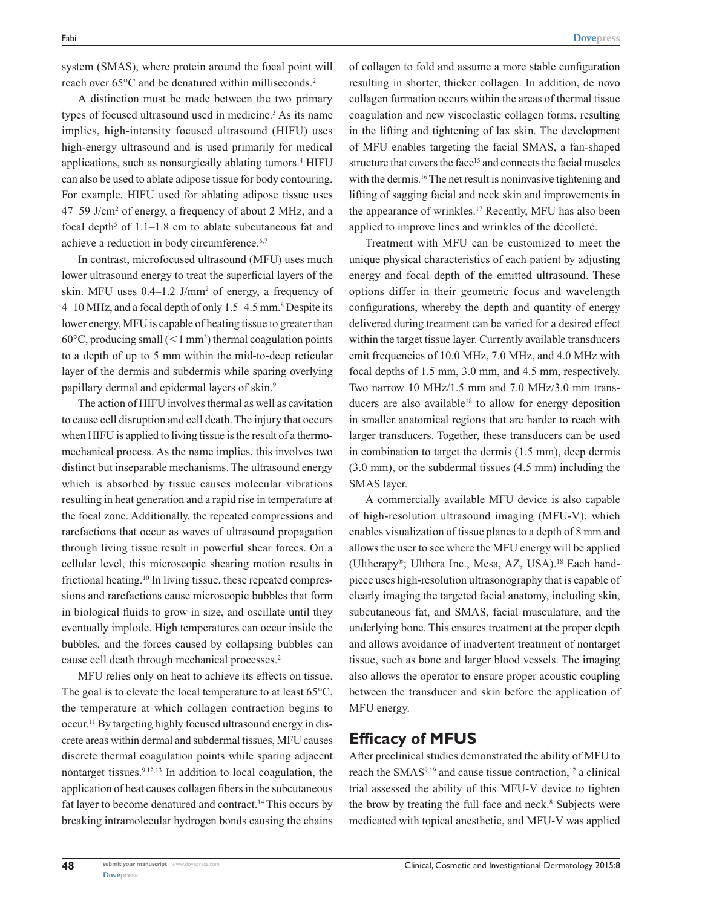system (SMAS), where protein around the focal point will reach over 65°C and be denatured within milliseconds.<sup>2</sup>

A distinction must be made between the two primary types of focused ultrasound used in medicine.<sup>3</sup> As its name implies, high-intensity focused ultrasound (HIFU) uses high-energy ultrasound and is used primarily for medical applications, such as nonsurgically ablating tumors.<sup>4</sup> HIFU can also be used to ablate adipose tissue for body contouring. For example, HIFU used for ablating adipose tissue uses 47–59 J/cm2 of energy, a frequency of about 2 MHz, and a focal depth<sup>5</sup> of  $1.1-1.8$  cm to ablate subcutaneous fat and achieve a reduction in body circumference.6,7

In contrast, microfocused ultrasound (MFU) uses much lower ultrasound energy to treat the superficial layers of the skin. MFU uses  $0.4-1.2$  J/mm<sup>2</sup> of energy, a frequency of 4–10 MHz, and a focal depth of only 1.5–4.5 mm.<sup>8</sup> Despite its lower energy, MFU is capable of heating tissue to greater than  $60^{\circ}$ C, producing small ( $\leq 1$  mm<sup>3</sup>) thermal coagulation points to a depth of up to 5 mm within the mid-to-deep reticular layer of the dermis and subdermis while sparing overlying papillary dermal and epidermal layers of skin.9

The action of HIFU involves thermal as well as cavitation to cause cell disruption and cell death. The injury that occurs when HIFU is applied to living tissue is the result of a thermomechanical process. As the name implies, this involves two distinct but inseparable mechanisms. The ultrasound energy which is absorbed by tissue causes molecular vibrations resulting in heat generation and a rapid rise in temperature at the focal zone. Additionally, the repeated compressions and rarefactions that occur as waves of ultrasound propagation through living tissue result in powerful shear forces. On a cellular level, this microscopic shearing motion results in frictional heating.<sup>10</sup> In living tissue, these repeated compressions and rarefactions cause microscopic bubbles that form in biological fluids to grow in size, and oscillate until they eventually implode. High temperatures can occur inside the bubbles, and the forces caused by collapsing bubbles can cause cell death through mechanical processes.2

MFU relies only on heat to achieve its effects on tissue. The goal is to elevate the local temperature to at least 65<sup>o</sup>C, the temperature at which collagen contraction begins to occur.11 By targeting highly focused ultrasound energy in discrete areas within dermal and subdermal tissues, MFU causes discrete thermal coagulation points while sparing adjacent nontarget tissues.<sup>9,12,13</sup> In addition to local coagulation, the application of heat causes collagen fibers in the subcutaneous fat layer to become denatured and contract.14 This occurs by breaking intramolecular hydrogen bonds causing the chains of collagen to fold and assume a more stable configuration resulting in shorter, thicker collagen. In addition, de novo collagen formation occurs within the areas of thermal tissue coagulation and new viscoelastic collagen forms, resulting in the lifting and tightening of lax skin. The development of MFU enables targeting the facial SMAS, a fan-shaped structure that covers the face<sup>15</sup> and connects the facial muscles with the dermis.<sup>16</sup> The net result is noninvasive tightening and lifting of sagging facial and neck skin and improvements in the appearance of wrinkles.17 Recently, MFU has also been applied to improve lines and wrinkles of the décolleté.

Treatment with MFU can be customized to meet the unique physical characteristics of each patient by adjusting energy and focal depth of the emitted ultrasound. These options differ in their geometric focus and wavelength configurations, whereby the depth and quantity of energy delivered during treatment can be varied for a desired effect within the target tissue layer. Currently available transducers emit frequencies of 10.0 MHz, 7.0 MHz, and 4.0 MHz with focal depths of 1.5 mm, 3.0 mm, and 4.5 mm, respectively. Two narrow 10 MHz/1.5 mm and 7.0 MHz/3.0 mm transducers are also available<sup>18</sup> to allow for energy deposition in smaller anatomical regions that are harder to reach with larger transducers. Together, these transducers can be used in combination to target the dermis (1.5 mm), deep dermis (3.0 mm), or the subdermal tissues (4.5 mm) including the SMAS layer.

A commercially available MFU device is also capable of high-resolution ultrasound imaging (MFU-V), which enables visualization of tissue planes to a depth of 8 mm and allows the user to see where the MFU energy will be applied (Ultherapy®; Ulthera Inc., Mesa, AZ, USA).18 Each handpiece uses high-resolution ultrasonography that is capable of clearly imaging the targeted facial anatomy, including skin, subcutaneous fat, and SMAS, facial musculature, and the underlying bone. This ensures treatment at the proper depth and allows avoidance of inadvertent treatment of nontarget tissue, such as bone and larger blood vessels. The imaging also allows the operator to ensure proper acoustic coupling between the transducer and skin before the application of MFU energy.

## **Efficacy of MFUS**

After preclinical studies demonstrated the ability of MFU to reach the SMAS $9,19$  and cause tissue contraction,<sup>12</sup> a clinical trial assessed the ability of this MFU-V device to tighten the brow by treating the full face and neck.<sup>8</sup> Subjects were medicated with topical anesthetic, and MFU-V was applied

**48**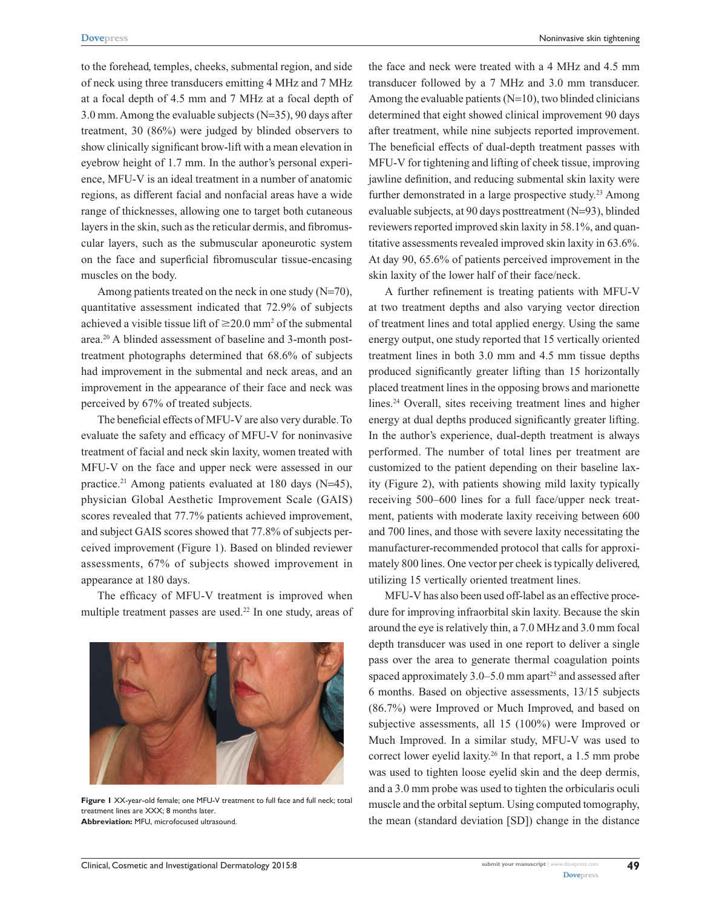to the forehead, temples, cheeks, submental region, and side of neck using three transducers emitting 4 MHz and 7 MHz at a focal depth of 4.5 mm and 7 MHz at a focal depth of 3.0 mm. Among the evaluable subjects (N=35), 90 days after treatment, 30 (86%) were judged by blinded observers to show clinically significant brow-lift with a mean elevation in eyebrow height of 1.7 mm. In the author's personal experience, MFU-V is an ideal treatment in a number of anatomic regions, as different facial and nonfacial areas have a wide range of thicknesses, allowing one to target both cutaneous layers in the skin, such as the reticular dermis, and fibromuscular layers, such as the submuscular aponeurotic system on the face and superficial fibromuscular tissue-encasing muscles on the body.

Among patients treated on the neck in one study  $(N=70)$ , quantitative assessment indicated that 72.9% of subjects achieved a visible tissue lift of  $\geq$ 20.0 mm<sup>2</sup> of the submental area.20 A blinded assessment of baseline and 3-month posttreatment photographs determined that 68.6% of subjects had improvement in the submental and neck areas, and an improvement in the appearance of their face and neck was perceived by 67% of treated subjects.

The beneficial effects of MFU-V are also very durable. To evaluate the safety and efficacy of MFU-V for noninvasive treatment of facial and neck skin laxity, women treated with MFU-V on the face and upper neck were assessed in our practice.<sup>21</sup> Among patients evaluated at 180 days (N=45), physician Global Aesthetic Improvement Scale (GAIS) scores revealed that 77.7% patients achieved improvement, and subject GAIS scores showed that 77.8% of subjects perceived improvement (Figure 1). Based on blinded reviewer assessments, 67% of subjects showed improvement in appearance at 180 days.

The efficacy of MFU-V treatment is improved when multiple treatment passes are used.<sup>22</sup> In one study, areas of



**Figure 1** XX-year-old female; one MFU-V treatment to full face and full neck; total treatment lines are XXX; 8 months later. **Abbreviation:** MFU, microfocused ultrasound.

the face and neck were treated with a 4 MHz and 4.5 mm transducer followed by a 7 MHz and 3.0 mm transducer. Among the evaluable patients  $(N=10)$ , two blinded clinicians determined that eight showed clinical improvement 90 days after treatment, while nine subjects reported improvement. The beneficial effects of dual-depth treatment passes with MFU-V for tightening and lifting of cheek tissue, improving jawline definition, and reducing submental skin laxity were further demonstrated in a large prospective study.<sup>23</sup> Among evaluable subjects, at 90 days posttreatment (N=93), blinded reviewers reported improved skin laxity in 58.1%, and quantitative assessments revealed improved skin laxity in 63.6%. At day 90, 65.6% of patients perceived improvement in the skin laxity of the lower half of their face/neck.

A further refinement is treating patients with MFU-V at two treatment depths and also varying vector direction of treatment lines and total applied energy. Using the same energy output, one study reported that 15 vertically oriented treatment lines in both 3.0 mm and 4.5 mm tissue depths produced significantly greater lifting than 15 horizontally placed treatment lines in the opposing brows and marionette lines.24 Overall, sites receiving treatment lines and higher energy at dual depths produced significantly greater lifting. In the author's experience, dual-depth treatment is always performed. The number of total lines per treatment are customized to the patient depending on their baseline laxity (Figure 2), with patients showing mild laxity typically receiving 500–600 lines for a full face/upper neck treatment, patients with moderate laxity receiving between 600 and 700 lines, and those with severe laxity necessitating the manufacturer-recommended protocol that calls for approximately 800 lines. One vector per cheek is typically delivered, utilizing 15 vertically oriented treatment lines.

MFU-V has also been used off-label as an effective procedure for improving infraorbital skin laxity. Because the skin around the eye is relatively thin, a 7.0 MHz and 3.0 mm focal depth transducer was used in one report to deliver a single pass over the area to generate thermal coagulation points spaced approximately  $3.0-5.0$  mm apart<sup>25</sup> and assessed after 6 months. Based on objective assessments, 13/15 subjects (86.7%) were Improved or Much Improved, and based on subjective assessments, all 15 (100%) were Improved or Much Improved. In a similar study, MFU-V was used to correct lower eyelid laxity.<sup>26</sup> In that report, a 1.5 mm probe was used to tighten loose eyelid skin and the deep dermis, and a 3.0 mm probe was used to tighten the orbicularis oculi muscle and the orbital septum. Using computed tomography, the mean (standard deviation [SD]) change in the distance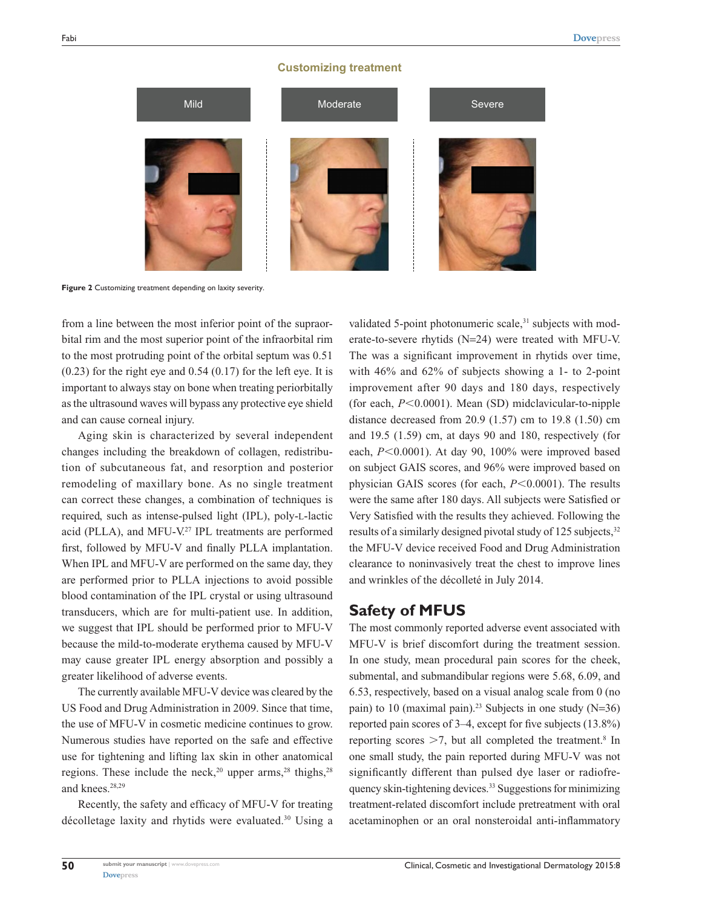#### **Customizing treatment**



**Figure 2** Customizing treatment depending on laxity severity.

from a line between the most inferior point of the supraorbital rim and the most superior point of the infraorbital rim to the most protruding point of the orbital septum was 0.51 (0.23) for the right eye and 0.54 (0.17) for the left eye. It is important to always stay on bone when treating periorbitally as the ultrasound waves will bypass any protective eye shield and can cause corneal injury.

Aging skin is characterized by several independent changes including the breakdown of collagen, redistribution of subcutaneous fat, and resorption and posterior remodeling of maxillary bone. As no single treatment can correct these changes, a combination of techniques is required, such as intense-pulsed light (IPL), poly-l-lactic acid (PLLA), and MFU-V.<sup>27</sup> IPL treatments are performed first, followed by MFU-V and finally PLLA implantation. When IPL and MFU-V are performed on the same day, they are performed prior to PLLA injections to avoid possible blood contamination of the IPL crystal or using ultrasound transducers, which are for multi-patient use. In addition, we suggest that IPL should be performed prior to MFU-V because the mild-to-moderate erythema caused by MFU-V may cause greater IPL energy absorption and possibly a greater likelihood of adverse events.

The currently available MFU-V device was cleared by the US Food and Drug Administration in 2009. Since that time, the use of MFU-V in cosmetic medicine continues to grow. Numerous studies have reported on the safe and effective use for tightening and lifting lax skin in other anatomical regions. These include the neck,<sup>20</sup> upper arms,<sup>28</sup> thighs,<sup>28</sup> and knees.<sup>28,29</sup>

Recently, the safety and efficacy of MFU-V for treating décolletage laxity and rhytids were evaluated.<sup>30</sup> Using a

validated 5-point photonumeric scale, $31$  subjects with moderate-to-severe rhytids (N=24) were treated with MFU-V. The was a significant improvement in rhytids over time, with 46% and 62% of subjects showing a 1- to 2-point improvement after 90 days and 180 days, respectively (for each,  $P<0.0001$ ). Mean (SD) midclavicular-to-nipple distance decreased from 20.9 (1.57) cm to 19.8 (1.50) cm and 19.5 (1.59) cm, at days 90 and 180, respectively (for each,  $P<0.0001$ ). At day 90, 100% were improved based on subject GAIS scores, and 96% were improved based on physician GAIS scores (for each, *P*<0.0001). The results were the same after 180 days. All subjects were Satisfied or Very Satisfied with the results they achieved. Following the results of a similarly designed pivotal study of 125 subjects,<sup>32</sup> the MFU-V device received Food and Drug Administration clearance to noninvasively treat the chest to improve lines and wrinkles of the décolleté in July 2014.

## **Safety of MFUS**

The most commonly reported adverse event associated with MFU-V is brief discomfort during the treatment session. In one study, mean procedural pain scores for the cheek, submental, and submandibular regions were 5.68, 6.09, and 6.53, respectively, based on a visual analog scale from 0 (no pain) to 10 (maximal pain).<sup>23</sup> Subjects in one study  $(N=36)$ reported pain scores of 3–4, except for five subjects (13.8%) reporting scores  $\geq 7$ , but all completed the treatment.<sup>8</sup> In one small study, the pain reported during MFU-V was not significantly different than pulsed dye laser or radiofrequency skin-tightening devices.33 Suggestions for minimizing treatment-related discomfort include pretreatment with oral acetaminophen or an oral nonsteroidal anti-inflammatory

**50**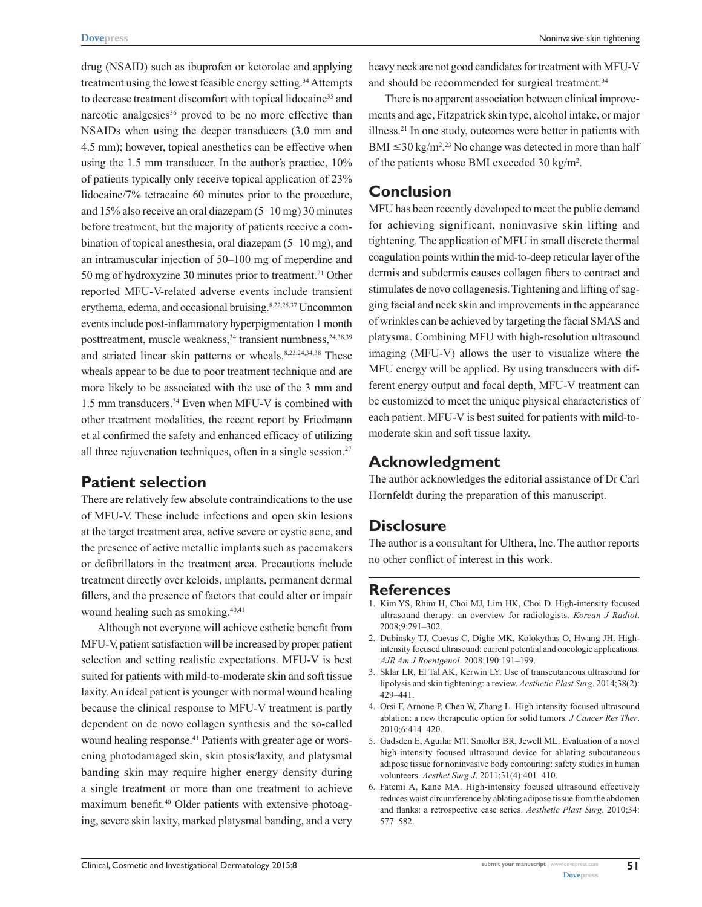drug (NSAID) such as ibuprofen or ketorolac and applying treatment using the lowest feasible energy setting.<sup>34</sup> Attempts to decrease treatment discomfort with topical lidocaine<sup>35</sup> and narcotic analgesics<sup>36</sup> proved to be no more effective than NSAIDs when using the deeper transducers (3.0 mm and 4.5 mm); however, topical anesthetics can be effective when using the 1.5 mm transducer. In the author's practice, 10% of patients typically only receive topical application of 23% lidocaine/7% tetracaine 60 minutes prior to the procedure, and 15% also receive an oral diazepam (5–10 mg) 30 minutes before treatment, but the majority of patients receive a combination of topical anesthesia, oral diazepam (5–10 mg), and an intramuscular injection of 50–100 mg of meperdine and 50 mg of hydroxyzine 30 minutes prior to treatment.<sup>21</sup> Other reported MFU-V-related adverse events include transient erythema, edema, and occasional bruising.<sup>8,22,25,37</sup> Uncommon events include post-inflammatory hyperpigmentation 1 month posttreatment, muscle weakness,<sup>34</sup> transient numbness,<sup>24,38,39</sup> and striated linear skin patterns or wheals.<sup>8,23,24,34,38</sup> These wheals appear to be due to poor treatment technique and are more likely to be associated with the use of the 3 mm and 1.5 mm transducers.34 Even when MFU-V is combined with other treatment modalities, the recent report by Friedmann et al confirmed the safety and enhanced efficacy of utilizing all three rejuvenation techniques, often in a single session. $27$ 

## **Patient selection**

There are relatively few absolute contraindications to the use of MFU-V. These include infections and open skin lesions at the target treatment area, active severe or cystic acne, and the presence of active metallic implants such as pacemakers or defibrillators in the treatment area. Precautions include treatment directly over keloids, implants, permanent dermal fillers, and the presence of factors that could alter or impair wound healing such as smoking.<sup>40,41</sup>

Although not everyone will achieve esthetic benefit from MFU-V, patient satisfaction will be increased by proper patient selection and setting realistic expectations. MFU-V is best suited for patients with mild-to-moderate skin and soft tissue laxity. An ideal patient is younger with normal wound healing because the clinical response to MFU-V treatment is partly dependent on de novo collagen synthesis and the so-called wound healing response.<sup>41</sup> Patients with greater age or worsening photodamaged skin, skin ptosis/laxity, and platysmal banding skin may require higher energy density during a single treatment or more than one treatment to achieve maximum benefit.40 Older patients with extensive photoaging, severe skin laxity, marked platysmal banding, and a very heavy neck are not good candidates for treatment with MFU-V and should be recommended for surgical treatment.<sup>34</sup>

There is no apparent association between clinical improvements and age, Fitzpatrick skin type, alcohol intake, or major illness.21 In one study, outcomes were better in patients with  $\text{BMI} \leq 30 \,\text{kg/m}^2$ <sup>23</sup> No change was detected in more than half of the patients whose BMI exceeded 30 kg/m<sup>2</sup>.

## **Conclusion**

MFU has been recently developed to meet the public demand for achieving significant, noninvasive skin lifting and tightening. The application of MFU in small discrete thermal coagulation points within the mid-to-deep reticular layer of the dermis and subdermis causes collagen fibers to contract and stimulates de novo collagenesis. Tightening and lifting of sagging facial and neck skin and improvements in the appearance of wrinkles can be achieved by targeting the facial SMAS and platysma. Combining MFU with high-resolution ultrasound imaging (MFU-V) allows the user to visualize where the MFU energy will be applied. By using transducers with different energy output and focal depth, MFU-V treatment can be customized to meet the unique physical characteristics of each patient. MFU-V is best suited for patients with mild-tomoderate skin and soft tissue laxity.

# **Acknowledgment**

The author acknowledges the editorial assistance of Dr Carl Hornfeldt during the preparation of this manuscript.

# **Disclosure**

The author is a consultant for Ulthera, Inc. The author reports no other conflict of interest in this work.

## **References**

- 1. Kim YS, Rhim H, Choi MJ, Lim HK, Choi D. High-intensity focused ultrasound therapy: an overview for radiologists. *Korean J Radiol*. 2008;9:291–302.
- 2. Dubinsky TJ, Cuevas C, Dighe MK, Kolokythas O, Hwang JH. Highintensity focused ultrasound: current potential and oncologic applications. *AJR Am J Roentgenol*. 2008;190:191–199.
- 3. Sklar LR, El Tal AK, Kerwin LY. Use of transcutaneous ultrasound for lipolysis and skin tightening: a review. *Aesthetic Plast Surg*. 2014;38(2): 429–441.
- 4. Orsi F, Arnone P, Chen W, Zhang L. High intensity focused ultrasound ablation: a new therapeutic option for solid tumors. *J Cancer Res Ther*. 2010;6:414–420.
- 5. Gadsden E, Aguilar MT, Smoller BR, Jewell ML. Evaluation of a novel high-intensity focused ultrasound device for ablating subcutaneous adipose tissue for noninvasive body contouring: safety studies in human volunteers. *Aesthet Surg J*. 2011;31(4):401–410.
- 6. Fatemi A, Kane MA. High-intensity focused ultrasound effectively reduces waist circumference by ablating adipose tissue from the abdomen and flanks: a retrospective case series. *Aesthetic Plast Surg*. 2010;34: 577–582.